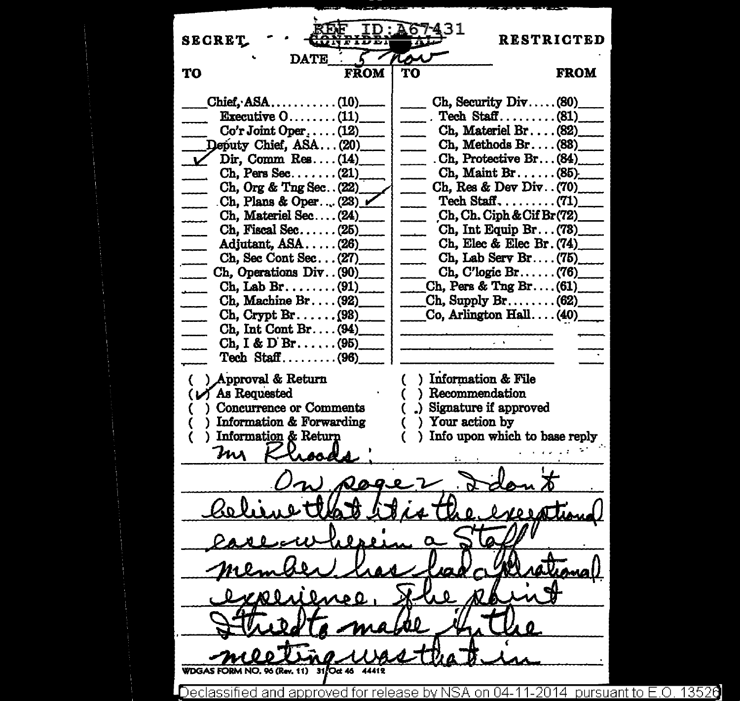-. **SECRET** RESTRICTED **DATE TO FROM** TO FROM  $Ch.$  Security  $Div \dots$ . (80)  $Chief, ASA, \ldots, \ldots, (10)$ Executive  $0, \ldots, \ldots$  (11) Tech  $Staff$ ......... (81)  $Co'r$  Joint Oper $\dots$ . (12) Ch, Materiel Br....  $(82)$ <br>Ch. Methods Br....  $(83)$ Deputy Chief, ASA... (20) Dir, Comm Res....  $(14)$ . Ch. Protective Br... (84) Ch, Pers See ....... (21)..,.....\_. Ch. Maint Br...... (85)-Ch, Org & Tng Sec .. (22) \_ Ch, Res & Dev Div .. (70)\_ . Ch, Plans & Oper ..•. (23)\_ Tech Staff... $\dots$ ...... (71)  $Ch$ , Ch. Ciph & Cif Br(72) Ch. Materiel Sec... $(24)$ Ch, Fiscal Sec...... (25) Ch, Int Equip Br... $(73)$ Ch, Elec & Elec Br. (74) Adjutant, ASA ..... (26)\_ Ch, Sec Cont Sec... (27)<br>
Ch, Operations Div... (90) Ch, Lab Serv Br.... $(75)$  $Ch. C'logic Br. \ldots$ . (76) Ch, Operations Div.  $(90)$ <br>Ch. Lab Br. . . . . . . . (91) Ch, Pers & Tng Br.... $(61)$ Ch, Machine Br .... (92)\_  $Ch$ , Supply Br........ (62)  $Co$ , Arlington Hall.  $\ldots$  (40)  $Ch.$  Crypt  $Br. \ldots$ ...(98) Ch, Int Cont Br .... (94)\_  $Ch. I & D Br. \ldots (95)$ Tech  $Staff$ ......... (96) ) Approval & Return ) Information & File As Requested Recommendation Concurrence or Comments ( .) Signature if approved Information & Forwarding Your action by Information & Return Info upon which to base reply Ins  $\boldsymbol{\lambda}$  .  $\boldsymbol{\Omega}$ 96 (Rev. 11) 31/Oct 46 approved for release by NSA on 04-11-2014 pursuant to E.O. 13526 Declassified and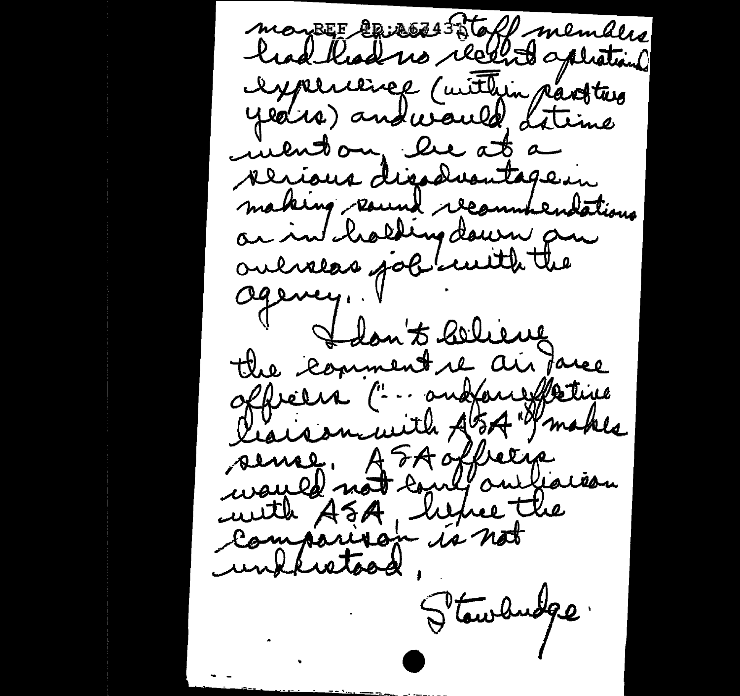mayBEE crisos 55toff members had kad no recent option Ispersence (within parties years) and would littime incuton, be at a perious dissolventage in making raund recountendations ar in cholding down an oulvers job with the agency, I don't believe the comment re air faree offreers (" - andfare fletive lears minith At 5A Makes sense. AFAoffrerie wayled not could our leaves with ASA, hence the comparison is not undhistood Stawdudge.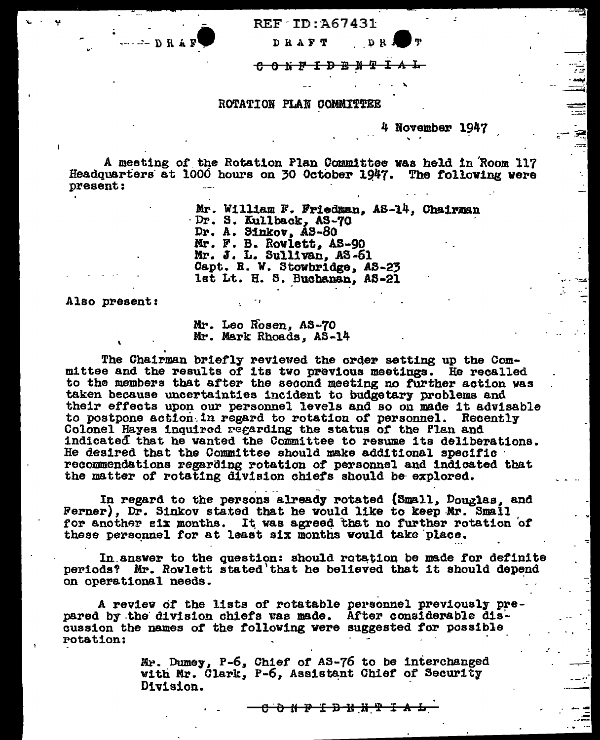REF-ID:A67431

 $D$  RAFT  $D$  R -- e e NP I BE J *9!* It.. l.

## ROTATION PLAN COMMITTEE

4 November 1947 <sup>~</sup>.

..

痉

. ........

·'

...

A meeting of the Rotation Plan Committee was held in Room 117 Headquarters at 1000 hours on 30 October 1947. The following were present:

> Mr. William F. Friedman, AS-14, Chairman Dr. S. Kullback, AS-70<br>Dr. A. Sinkov, AS-80 Mr. F. B. Rowlett, AS-90 Mr. J. L. Bull1van, AS·61 Capt. R. W. Stowbridge, AS-23 1st Lt. H. S. Buchanan, AS-21

Also present:

DRAF

Mr. Leo Rosen, AS-70 Mr. Mark Rhoads, AS-14

.,

The Chairman briefly reviewed the order setting up the Committee and the results of its two previous meetings. He recalled to the members that after the second meeting no further action was taken because uncertainties incident to budgetary problems and their effects upon our personnel levels and so on made it advisable to postpone action in regard to rotation of personnel. Recently Colonel Hayes inquired regarding the status of the Plan and indicated that he vanted the Committee to resume its deliberations.<br>He desired that the Committee should make additional specific recommendations regarding rotation of personnel and indicated that the matter of rotating division chiefs should be explored.

In regard to the persons already rotated (Small, Douglas, and Ferner), Dr. Sinkov stated that he would like to keep-Mr. Small for another six months. It was agreed that no further rotation of these personnel for at least six months would take place.

In answer to the question: should rotation be made for definite periods' Mr. Rowlett stated'tbat he believed that 1t should depend on operational needs.

A review of the lists of rotatable personnel previously pre- pared by the division chiefs was made. After considerable discussion the names of the following were suggested for possible rotation:

> Mr. Dumey, P-6, Chief of AS-76 to be interchanged with Mr. Clark, P-6, Assistant Chief of Security Division.

> > <del>a a i n i n a i n a i a</del>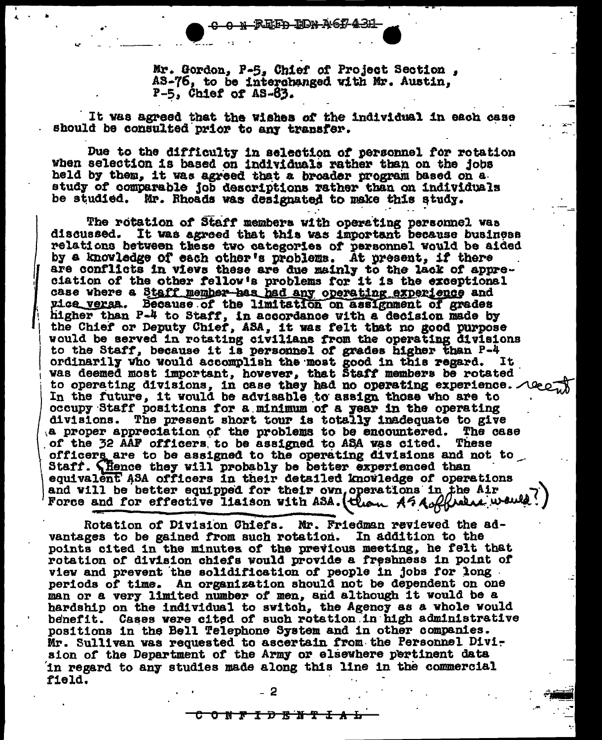REF<del>D ION AGI/431</del>-

Mr. Gordon, P-5. Chief of Project Section, AS-76, to be interchanged with Mr. Austin,  $P-5$ , Chief of AS-63.

It was agreed that the wishes of the individual in each case should be consulted prior to any transfer.

Due to the difficulty in selection of personnel for rotation when selection is based on individuals rather than on the jobs held by them, it was agreed that a broader program based on a study of comparable job descriptions rather than on individuals be studied. Mr. Rhoads was designated to make this study.

The rotation of Staff members with operating personnel was discussed. It was agreed that this was important because business relations between these two categories of personnel would be aided by a knowledge of each other's problems. At present, if there are conflicts in views these are due mainly to the lack of appreciation of the other fellow's problems for it is the exceptional case where a Staff member has had any operating experience and pice versa. Because of the limitation on assignment of grades higher than P-4 to Staff, in accordance with a decision made by the Chief or Deputy Chief, ASA, it was felt that no good purpose would be served in rotating civilians from the operating divisions to the Staff, because it is personnel of grades higher than P-4 ordinarily who would accomplish the most good in this regard. It was deemed most important, however, that Staff members be rotated to operating divisions, in case they had no operating experience. Alec In the future, it would be advisable to assign those who are to occupy Staff positions for a minimum of a year in the operating divisions. The present short tour is totally inadequate to give a proper appreciation of the problems to be encountered. The case of the 32 AAF officers to be assigned to ASA was cited. These officers are to be assigned to the operating divisions and not to Staff. Thence they will probably be better experienced than equivalent ASA officers in their detailed knowledge of operations and will be better equipped for their own operations in the Air

Rotation of Division Chiefs. Mr. Friedman reviewed the advantages to be gained from such rotation. In addition to the points cited in the minutes of the previous meeting, he felt that rotation of division chiefs would provide a freshness in point of view and prevent the solidification of people in jobs for long periods of time. An organization should not be dependent on one man or a very limited number of men, and although it would be a hardship on the individual to switch, the Agency as a whole would benefit. Cases were cited of such rotation in high administrative positions in the Bell Telephone System and in other companies. Mr. Sullivan was requested to ascertain from the Personnel Division of the Department of the Army or elsewhere pertinent data in regard to any studies made along this line in the commercial field.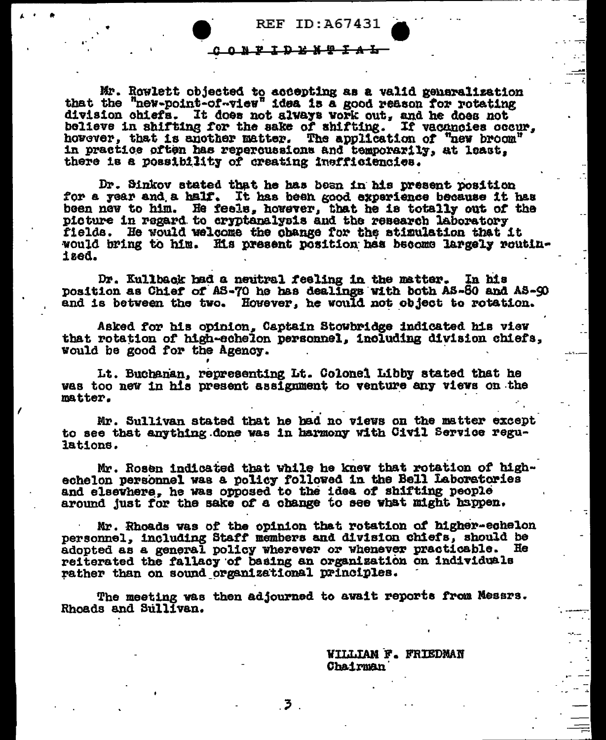**REF ID: A67431** 

## <u>ONFIDENTAL</u>

Mr. Rowlett objected to accepting as a valid generalization that the "new-point-of-view" idea is a good reason for rotating division chiefs. It does not always work out, and he does not believe in shifting for the sake of shifting. If vacancies occur. however, that is another matter. The application of "new broom" in practice often has repercussions and temporarily, at least, there is a possibility of creating insfficiencies.

Dr. Sinkov stated that he has been in his present position for a year and a half. It has been good experience because it has been new to him. He feels, however, that he is totally out of the picture in regard to cryptanalysis and the research laboratory fields. He would welcome the obange for the stimulation that it would bring to him. His present position has become largely routinized.

Dr. Kullback had a neutral feeling in the matter. In his position as Chief of AS-70 he has dealings with both AS-80 and AS-90 and is between the two. However, he would not object to rotation.

Asked for his opinion, Captain Stowbridge indicated his view that rotation of high-echelon personnel, including division chiefs, would be good for the Agency.

Lt. Buchanan, representing Lt. Colonel Libby stated that he was too new in his present assignment to venture any views on the matter.

Mr. Sullivan stated that he had no views on the matter except to see that anything done was in harmony with Civil Service regulations.

Mr. Rosen indicated that while he knew that rotation of highechelon personnel was a policy followed in the Bell Laboratories and elsewhere, he was opposed to the idea of shifting people around just for the sake of a change to see what might happen.

Mr. Rhoads was of the opinion that rotation of higher-echelon personnel, including Staff members and division chiefs, should be adopted as a general policy wherever or whenever practicable. He reiterated the fallacy of basing an organization on individuals rather than on sound organizational principles.

The meeting was then adjourned to await reports from Messrs. Rhoads and Sullivan.

——3

**WILLIAM F. FRIEDMAN** Chairman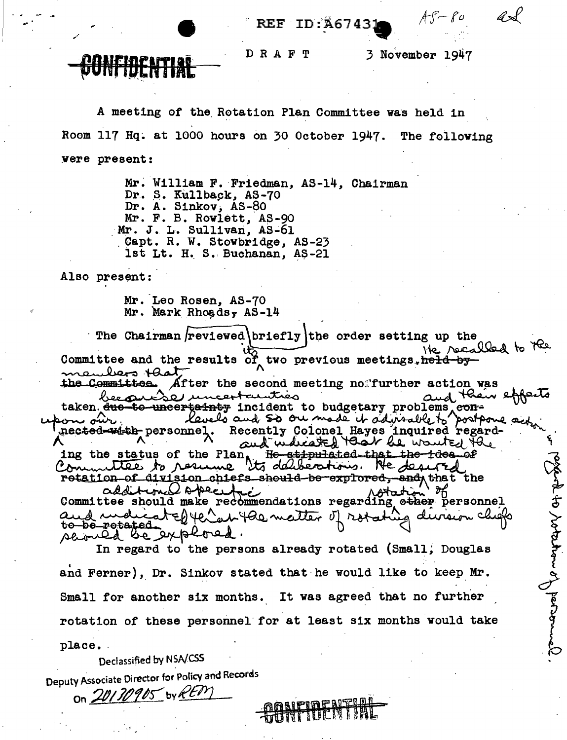REF ID:A6743

D R A F T

3 November 1947

 $AF-F0$ 

A meeting of the Rotation Plan Committee was held in Room 117 Hq. at 1000 hours on 30 October 1947. The following were present:

> Mr. William F. Friedman, AS-14, Chairman Dr. S. Kullback, AS-70 Dr. A. Sinkov, AS-80 Mr. F. B. Rowlett, AS-90 Mr. J. L. Sullivan, AS-61 Capt. R. W. Stowbridge, AS-23 1st Lt. H. S. Buchanan, AS-21

Also present:

Mr. Leo Rosen, AS-70 Mr. Mark Rhoads,  $AS-14$ 

The Chairman reviewed briefly the order setting up the He recalled to the Committee and the results of two previous meetings, held-bymembers that the Committee. After the second meeting no further action was and their et becauste uncertautrès taken <del>due to uncertainty</del> incident to budgetary problems conrected with personnel. Recently Colonel Hayes inquired regarding the status of the Plan, He stipulated that the toos of osciento votares en revelle rotation of division chiefs should be explored, and that the<br>additional observed additional offering in Motation ?"<br>Committee should make recommendations regarding other personnel and more to yer an you matter of rotation ig dursion chiefs to-be-retated served be explored. In regard to the persons already rotated (Small, Douglas

and Ferner), Dr. Sinkov stated that he would like to keep Mr. Small for another six months. It was agreed that no further rotation of these personnel for at least six months would take place.

Declassified by NSA/CSS

Deputy Associate Director for Policy and Records

On 20130905 by REPY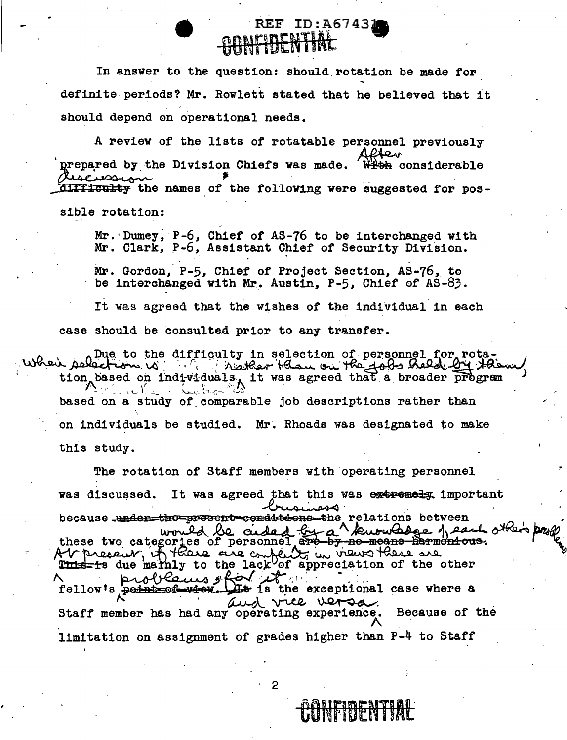In answer to the question: should rotation be made for definite periods? Mr. Rowlett stated that he believed that it should depend on operational needs.

REF ID: A67431

A review of the lists of rotatable personnel previously After prepared by the Division Chiefs was made. <del>With</del> considerable riscussion difficulty the names of the following were suggested for possible rotation:

Mr. Dumey, P-6, Chief of AS-76 to be interchanged with Mr. Clark, P-6, Assistant Chief of Security Division.

Mr. Gordon, P-5, Chief of Project Section, AS-76, to be interchanged with Mr. Austin, P-5, Chief of AS-83.

It was agreed that the wishes of the individual in each case should be consulted prior to any transfer.

When asked to the difficulty in selection of personnel for rotstion based on individuals, it was agreed that a broader program based on a study of comparable job descriptions rather than on individuals be studied. Mr. Rhoads was designated to make this study.

The rotation of Staff members with operating personnel was discussed. It was agreed that this was extremely important because under the present conditions the relations between these two categories of personnel are by no means harmonious.<br>A present in these two categories of personnel are by no means harmonious.<br>A present in these ene complets in views these are problems ofor it. fellow's permission with It is the exceptional case where a and vice versa Because of the Staff member has had any operating experience. limitation on assignment of grades higher than P-4 to Staff

2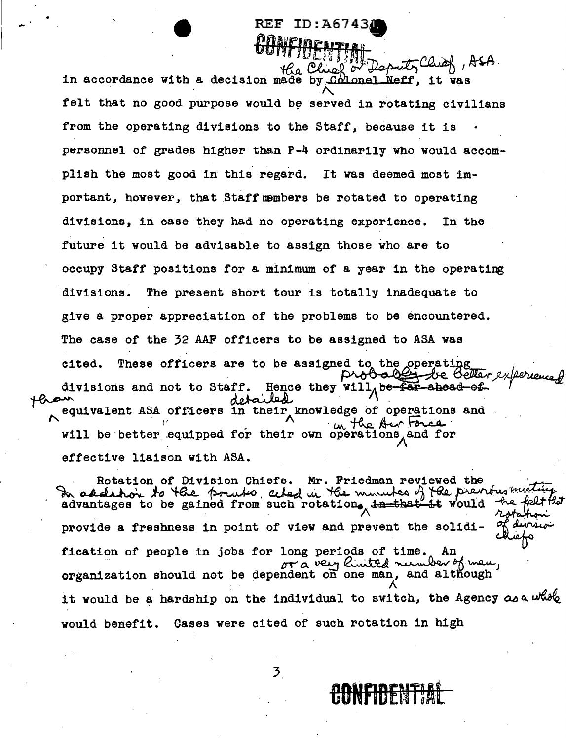## REF ID:A6743 CONFIDENTIAL<br>Ke Chief or Deputs Chief , ASA.

in accordance with a decision made by Colonel Neff, it was felt that no good purpose would be served in rotating civilians from the operating divisions to the Staff, because it is personnel of grades higher than P-4 ordinarily who would accomplish the most good in this regard. It was deemed most important, however, that Staff members be rotated to operating divisions, in case they had no operating experience. In the future it would be advisable to assign those who are to occupy Staff positions for a minimum of a year in the operating divisions. The present short tour is totally inadequate to give a proper appreciation of the problems to be encountered. The case of the 32 AAF officers to be assigned to ASA was cited. These officers are to be assigned to the operating<br>probably be beller experience equivalent ASA officers in their knowledge of operations and divisions and not to Staff. Hence the Hence they will, be far-ahead-ofexperiences  $"$  . I' will be better equipped for their own operations, and for effective liaison with ASA.

Rotation of Division Chiefs. Mr. Friedman reviewed the Rotation of Division Chiefs. Mr. Friedman reviewed the<br>2 addition to the point chad in the minutes of the previous meeting<br>advantages to be gained from such rotation, <del>in that it</del> would he felt that In addeling to the point cited in the minutes of the previous miching advantages to be gained from such rotation the that it would be felt that<br>provide a freshness in point of view and prevent the solidi- of during provide a freshness in point of view and prevent the solidi-<br>fication of people in jobs for long periods of time. An<br> $\sigma r \propto \nu \omega_1$  *Cinited number* of mean, organization should not be dependent on one man, and although it would be a hardship on the individual to switch, the Agency as a whole would benefit. Cases were cited of such rotation in high

**CONFIDENTIAL** 

3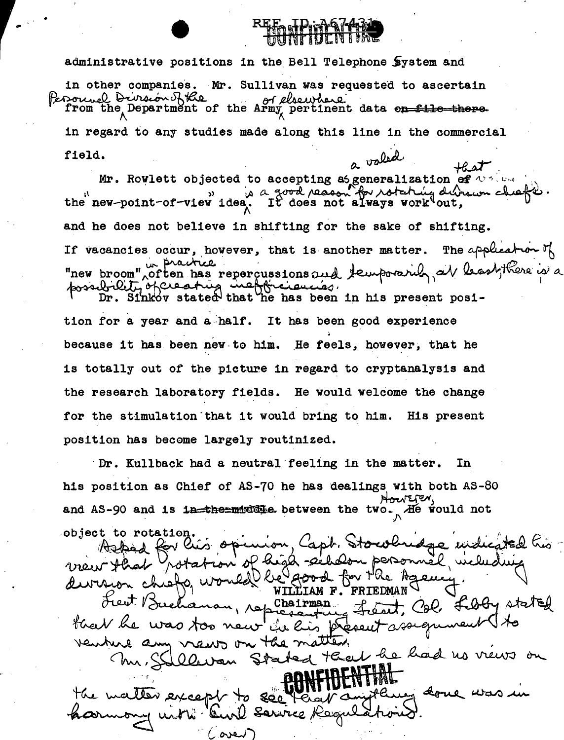## r- .. administrative positions in the Bell Telephone System and in other companies. Mr. Sullivan was requested to ascertain<br>eroonnel Diveron Rthe Reference  $_{\rm{p}}$ ,  $_{\rm{p}}$  .  $_{\rm{p}}$  ...  $_{\rm{p}}$  ... from the Department of the Army pertinent data <del>on file there</del> in regard to any studies made along this line in the commercial a valid field.

**REE FREE PORT AT THE** 

*+LT'.*  Mr. Roylett objected to accepting as generalization of  $\overline{N}$  .<br>the new-point-of-view idea, It does not always work out, and he does not believe in shifting for the sake of shifting. If vacancies occur, however, that is another matter. The application of "new broom" often has repercussions and If vacancies occur, however, that<br>"new broom", often has repercussion<br>possibility of creating inefficially of the distribution of the has  $b$ room", often has repercussions and temporarily, at least, there is a  $Dr.$  Sinkov stated that he has been in his present posi-

tion for a year and a half. It has been good experience because it has been new to him. He feels, however, that he is totally out of the picture in regard to cryptanalysis and the research laboratory fields. He would welcome the change for the stimulation that it would bring to him. His present position has become largely routinized.

Dr. Kullback had a neutral feeling in the matter. In his position as Chief of AS-70 he has dealings with both AS-80 Nouter. and AS-90 and is in the middle between the two. He would not

object to rotation. Azkad for his opinion, Capt. Stowlindge widigted his ion of high secholon personnel vicludi maw that division chiefo, would be good for Ma Agene LIAM F. FRIEDMAN De Chairman Let Bucha French Col. Fragy stated fleet he was too new in his present ssequinent to venture any news on the matter. Illevan Stated that he had no views on  $<$  hu,  $S$ young done was. except to  $200$ Bink Service Regul